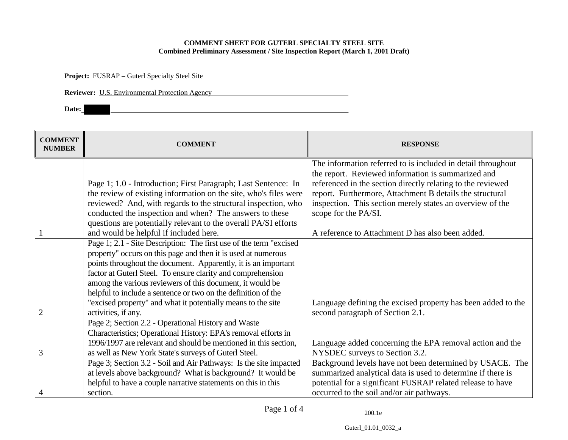**Project:** FUSRAP – Guterl Specialty Steel Site

**Reviewer:** U.S. Environmental Protection Agency

**Date:**

| <b>COMMENT</b><br><b>NUMBER</b> | <b>COMMENT</b>                                                      | <b>RESPONSE</b>                                              |
|---------------------------------|---------------------------------------------------------------------|--------------------------------------------------------------|
|                                 |                                                                     | The information referred to is included in detail throughout |
|                                 |                                                                     | the report. Reviewed information is summarized and           |
|                                 | Page 1; 1.0 - Introduction; First Paragraph; Last Sentence: In      | referenced in the section directly relating to the reviewed  |
|                                 | the review of existing information on the site, who's files were    | report. Furthermore, Attachment B details the structural     |
|                                 | reviewed? And, with regards to the structural inspection, who       | inspection. This section merely states an overview of the    |
|                                 | conducted the inspection and when? The answers to these             | scope for the PA/SI.                                         |
|                                 | questions are potentially relevant to the overall PA/SI efforts     |                                                              |
|                                 | and would be helpful if included here.                              | A reference to Attachment D has also been added.             |
|                                 | Page 1; 2.1 - Site Description: The first use of the term "excised" |                                                              |
|                                 | property" occurs on this page and then it is used at numerous       |                                                              |
|                                 | points throughout the document. Apparently, it is an important      |                                                              |
|                                 | factor at Guterl Steel. To ensure clarity and comprehension         |                                                              |
|                                 | among the various reviewers of this document, it would be           |                                                              |
|                                 | helpful to include a sentence or two on the definition of the       |                                                              |
|                                 | "excised property" and what it potentially means to the site        | Language defining the excised property has been added to the |
|                                 | activities, if any.                                                 | second paragraph of Section 2.1.                             |
|                                 | Page 2; Section 2.2 - Operational History and Waste                 |                                                              |
|                                 | Characteristics; Operational History: EPA's removal efforts in      |                                                              |
|                                 | 1996/1997 are relevant and should be mentioned in this section,     | Language added concerning the EPA removal action and the     |
| 3                               | as well as New York State's surveys of Guterl Steel.                | NYSDEC surveys to Section 3.2.                               |
|                                 | Page 3; Section 3.2 - Soil and Air Pathways: Is the site impacted   | Background levels have not been determined by USACE. The     |
|                                 | at levels above background? What is background? It would be         | summarized analytical data is used to determine if there is  |
|                                 | helpful to have a couple narrative statements on this in this       | potential for a significant FUSRAP related release to have   |
| 4                               | section.                                                            | occurred to the soil and/or air pathways.                    |

200.1e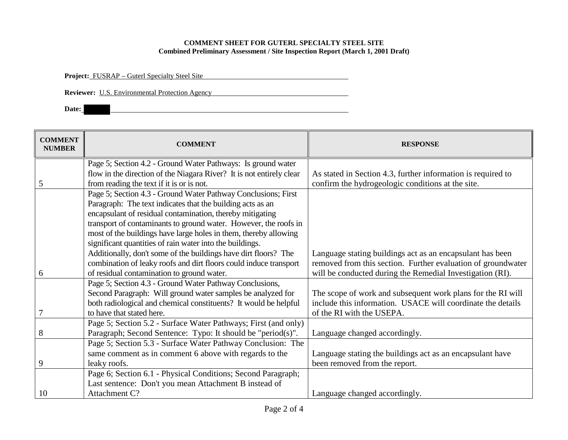**Project:** FUSRAP – Guterl Specialty Steel Site

**Reviewer:** U.S. Environmental Protection Agency

**Date:**

| <b>COMMENT</b><br><b>NUMBER</b> | <b>COMMENT</b>                                                       | <b>RESPONSE</b>                                              |
|---------------------------------|----------------------------------------------------------------------|--------------------------------------------------------------|
|                                 | Page 5; Section 4.2 - Ground Water Pathways: Is ground water         |                                                              |
|                                 | flow in the direction of the Niagara River? It is not entirely clear | As stated in Section 4.3, further information is required to |
| 5                               | from reading the text if it is or is not.                            | confirm the hydrogeologic conditions at the site.            |
|                                 | Page 5; Section 4.3 - Ground Water Pathway Conclusions; First        |                                                              |
|                                 | Paragraph: The text indicates that the building acts as an           |                                                              |
|                                 | encapsulant of residual contamination, thereby mitigating            |                                                              |
|                                 | transport of contaminants to ground water. However, the roofs in     |                                                              |
|                                 | most of the buildings have large holes in them, thereby allowing     |                                                              |
|                                 | significant quantities of rain water into the buildings.             |                                                              |
|                                 | Additionally, don't some of the buildings have dirt floors? The      | Language stating buildings act as an encapsulant has been    |
|                                 | combination of leaky roofs and dirt floors could induce transport    | removed from this section. Further evaluation of groundwater |
| 6                               | of residual contamination to ground water.                           | will be conducted during the Remedial Investigation (RI).    |
|                                 | Page 5; Section 4.3 - Ground Water Pathway Conclusions,              |                                                              |
|                                 | Second Paragraph: Will ground water samples be analyzed for          | The scope of work and subsequent work plans for the RI will  |
|                                 | both radiological and chemical constituents? It would be helpful     | include this information. USACE will coordinate the details  |
|                                 | to have that stated here.                                            | of the RI with the USEPA.                                    |
|                                 | Page 5; Section 5.2 - Surface Water Pathways; First (and only)       |                                                              |
| 8                               | Paragraph; Second Sentence: Typo: It should be "period(s)".          | Language changed accordingly.                                |
|                                 | Page 5; Section 5.3 - Surface Water Pathway Conclusion: The          |                                                              |
|                                 | same comment as in comment 6 above with regards to the               | Language stating the buildings act as an encapsulant have    |
| 9                               | leaky roofs.                                                         | been removed from the report.                                |
|                                 | Page 6; Section 6.1 - Physical Conditions; Second Paragraph;         |                                                              |
|                                 | Last sentence: Don't you mean Attachment B instead of                |                                                              |
| 10                              | Attachment C?                                                        | Language changed accordingly.                                |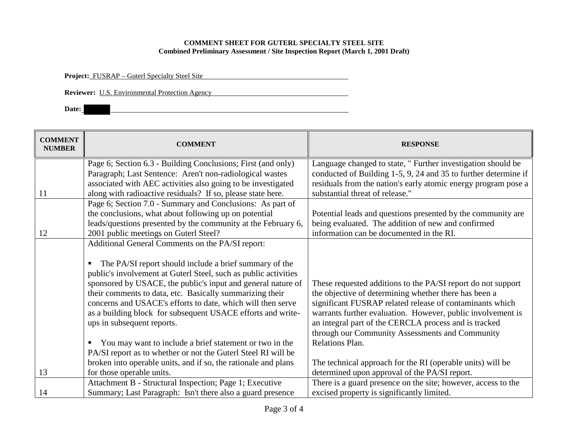**Project:** FUSRAP – Guterl Specialty Steel Site

**Reviewer:** U.S. Environmental Protection Agency

**Date:**

| <b>COMMENT</b><br><b>NUMBER</b> | <b>COMMENT</b>                                                                                                           | <b>RESPONSE</b>                                                                                                                   |
|---------------------------------|--------------------------------------------------------------------------------------------------------------------------|-----------------------------------------------------------------------------------------------------------------------------------|
|                                 | Page 6; Section 6.3 - Building Conclusions; First (and only)                                                             | Language changed to state, " Further investigation should be                                                                      |
|                                 | Paragraph; Last Sentence: Aren't non-radiological wastes<br>associated with AEC activities also going to be investigated | conducted of Building 1-5, 9, 24 and 35 to further determine if<br>residuals from the nation's early atomic energy program pose a |
| 11                              | along with radioactive residuals? If so, please state here.                                                              | substantial threat of release."                                                                                                   |
|                                 | Page 6; Section 7.0 - Summary and Conclusions: As part of                                                                |                                                                                                                                   |
|                                 | the conclusions, what about following up on potential                                                                    | Potential leads and questions presented by the community are                                                                      |
|                                 | leads/questions presented by the community at the February 6,                                                            | being evaluated. The addition of new and confirmed                                                                                |
| 12                              | 2001 public meetings on Guterl Steel?                                                                                    | information can be documented in the RI.                                                                                          |
|                                 | Additional General Comments on the PA/SI report:                                                                         |                                                                                                                                   |
|                                 | The PA/SI report should include a brief summary of the                                                                   |                                                                                                                                   |
|                                 | public's involvement at Guterl Steel, such as public activities                                                          |                                                                                                                                   |
|                                 | sponsored by USACE, the public's input and general nature of                                                             | These requested additions to the PA/SI report do not support                                                                      |
|                                 | their comments to data, etc. Basically summarizing their                                                                 | the objective of determining whether there has been a                                                                             |
|                                 | concerns and USACE's efforts to date, which will then serve                                                              | significant FUSRAP related release of contaminants which                                                                          |
|                                 | as a building block for subsequent USACE efforts and write-                                                              | warrants further evaluation. However, public involvement is                                                                       |
|                                 | ups in subsequent reports.                                                                                               | an integral part of the CERCLA process and is tracked                                                                             |
|                                 |                                                                                                                          | through our Community Assessments and Community<br>Relations Plan.                                                                |
|                                 | You may want to include a brief statement or two in the<br>PA/SI report as to whether or not the Guterl Steel RI will be |                                                                                                                                   |
|                                 | broken into operable units, and if so, the rationale and plans                                                           | The technical approach for the RI (operable units) will be                                                                        |
| 13                              | for those operable units.                                                                                                | determined upon approval of the PA/SI report.                                                                                     |
|                                 | Attachment B - Structural Inspection; Page 1; Executive                                                                  | There is a guard presence on the site; however, access to the                                                                     |
| 14                              | Summary; Last Paragraph: Isn't there also a guard presence                                                               | excised property is significantly limited.                                                                                        |